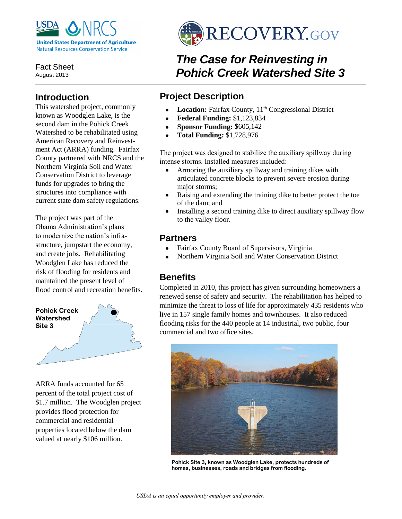

Fact Sheet August 2013

#### **Introduction**

This watershed project, commonly known as Woodglen Lake, is the second dam in the Pohick Creek Watershed to be rehabilitated using American Recovery and Reinvestment Act (ARRA) funding. Fairfax County partnered with NRCS and the Northern Virginia Soil and Water Conservation District to leverage funds for upgrades to bring the structures into compliance with current state dam safety regulations.

The project was part of the Obama Administration's plans to modernize the nation's infrastructure, jumpstart the economy, and create jobs. Rehabilitating Woodglen Lake has reduced the risk of flooding for residents and maintained the present level of flood control and recreation benefits.



ARRA funds accounted for 65 percent of the total project cost of \$1.7 million. The Woodglen project provides flood protection for commercial and residential properties located below the dam valued at nearly \$106 million.



# *The Case for Reinvesting in Pohick Creek Watershed Site 3*

### **Project Description**

- Location: Fairfax County, 11<sup>th</sup> Congressional District
- **Federal Funding:** \$1,123,834
- **Sponsor Funding:** \$605,142
- **Total Funding:** \$1,728,976

The project was designed to stabilize the auxiliary spillway during intense storms. Installed measures included:

- Armoring the auxiliary spillway and training dikes with articulated concrete blocks to prevent severe erosion during major storms;
- Raising and extending the training dike to better protect the toe of the dam; and
- Installing a second training dike to direct auxiliary spillway flow to the valley floor.

#### **Partners**

- Fairfax County Board of Supervisors, Virginia
- Northern Virginia Soil and Water Conservation District

# **Benefits**

Completed in 2010, this project has given surrounding homeowners a renewed sense of safety and security. The rehabilitation has helped to minimize the threat to loss of life for approximately 435 residents who live in 157 single family homes and townhouses. It also reduced flooding risks for the 440 people at 14 industrial, two public, four commercial and two office sites.



**Pohick Site 3, known as Woodglen Lake, protects hundreds of homes, businesses, roads and bridges from flooding.**